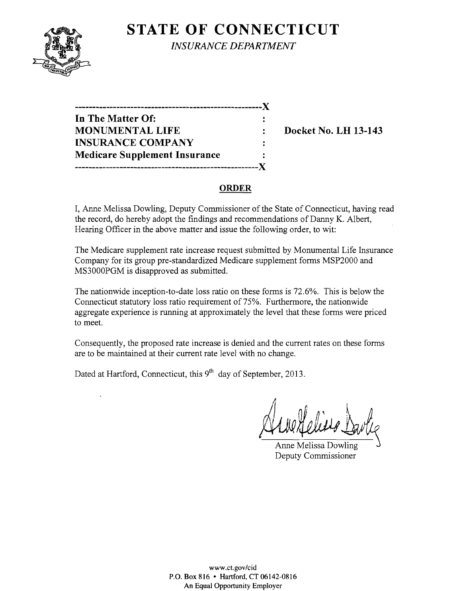# **STATE OF CONNECTICUT**



*INSURANCE DEPARTMENT* 

| In The Matter Of:                    |   |
|--------------------------------------|---|
| <b>MONUMENTAL LIFE</b>               |   |
| <b>INSURANCE COMPANY</b>             | ٠ |
| <b>Medicare Supplement Insurance</b> | ٠ |
| -------------------------------      |   |

**Docket No. LH 13-143** 

## **ORDER**

I, Anne Melissa Dowling, Deputy Commissioner of the State of Connecticut, having read the record, do hereby adopt the findings and recommendations of Danny K. Albert, Hearing Officer in the above matter and issue the following order, to wit:

The Medicare supplement rate increase request submitted by Monumental Life Insurance Company for its group pre-standardized Medicare supplement forms MSP2000 and MS3000PGM is disapproved as submitted.

The nationwide inception-to-date loss ratio on these forms is 72.6%. This is below the Connecticut statutory loss ratio requirement of 75%. Furthermore, the nationwide aggregate experience is running at approximately the level that these forms were priced to meet.

Consequently, the proposed rate increase is denied and the current rates on these forms are to be maintained at their current rate level with no change.

Dated at Hartford, Connecticut, this 9<sup>th</sup> day of September, 2013.

*11* 

Anne Melissa Dowling Deputy Commissioner

www.ct.gov/cid P.O. Box 816 • Hartford, CT 06142-0816 An Equal Opportunity Employer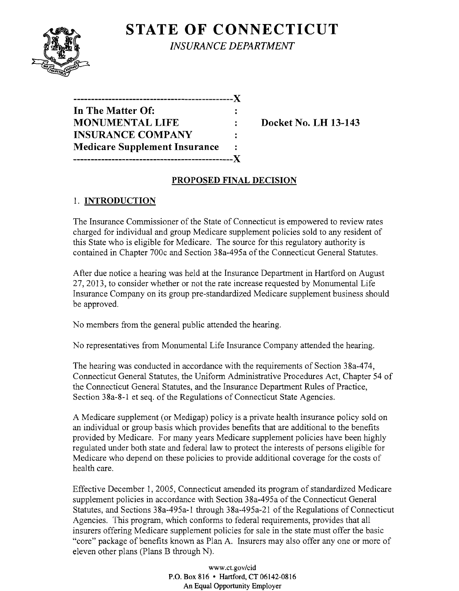

**STATE OF CONNECTICUT** *INSURANCE DEPARTMENT* 

| ------------                         |   |
|--------------------------------------|---|
| In The Matter Of:                    |   |
| <b>MONUMENTAL LIFE</b>               |   |
| <b>INSURANCE COMPANY</b>             | ÷ |
| <b>Medicare Supplement Insurance</b> |   |
| --------------------------           |   |

**Docket No. LH 13-143** 

## **PROPOSED FINAL DECISION**

## 1. **INTRODUCTION**

The Insurance Commissioner of the State of Connecticut is empowered to review rates charged for individual and group Medicare supplement policies sold to any resident of this State who is eligible for Medicare. The source for this regulatory authority is contained in Chapter 700c and Section 38a-495a ofthe Connecticut General Statutes.

After due notice a hearing was held at the Insurance Department in Hartford on August 27,2013, to consider whether or not the rate increase requested by Monumental Life Insurance Company on its group pre-standardized Medicare supplement business should be approved.

No members from the general public attended the hearing.

No representatives from Monumental Life Insurance Company attended the hearing.

The hearing was conducted in accordance with the requirements of Section 38a-474, Connecticut General Statutes, the Uniform Administrative Procedures Act, Chapter 54 of the Connecticut General Statutes, and the Insurance Department Rules of Practice, Section 38a-8-1 et seq. of the Regulations of Connecticut State Agencies.

A Medicare supplement (or Medigap) policy is a private health insurance policy sold on an individual or group basis which provides benefits that are additional to the benefits provided by Medicare. For many years Medicare supplement policies have been highly regulated under both state and federal law to protect the interests of persons eligible for Medicare who depend on these policies to provide additional coverage for the costs of health care.

Effective December 1, 2005, Connecticut amended its program of standardized Medicare supplement policies in accordance with Section 38a-495a of the Connecticut General Statutes, and Sections 38a-495a-1 through 38a-495a-21 of the Regulations of Connecticut Agencies. This program, which conforms to federal requirements, provides that all insurers offering Medicare supplement policies for sale in the state must offer the basic "core" package of benefits known as Plan A. Insurers may also offer anyone or more of eleven other plans (Plans B through N).

> www.ct.gov/cid P.O. Box 816 • Hartford, CT 06142-0816 An Equal Opportunity Employer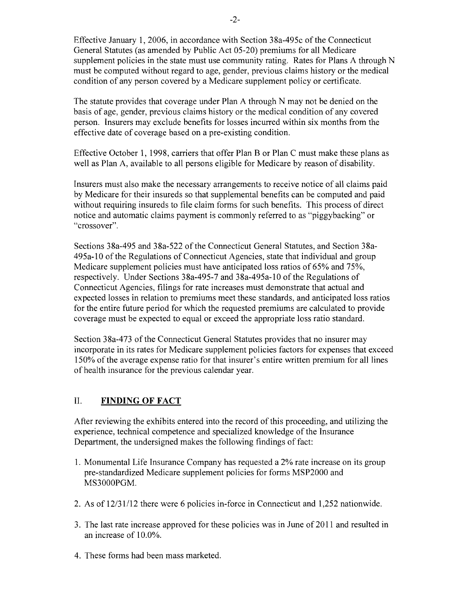Effective January 1,2006, in accordance with Section 38a-495c of the Connecticut General Statutes (as amended by Public Act 05-20) premiums for all Medicare supplement policies in the state must use community rating. Rates for Plans A through N must be computed without regard to age, gender, previous claims history or the medical condition of any person covered by a Medicare supplement policy or certificate.

The statute provides that coverage under Plan A through N may not be denied on the basis of age, gender, previous claims history or the medical condition of any covered person. Insurers may exclude benefits for losses incurred within six months from the effective date of coverage based on a pre-existing condition.

Effective October 1, 1998, carriers that offer Plan B or Plan C must make these plans as well as Plan A, available to all persons eligible for Medicare by reason of disability.

Insurers must also make the necessary arrangements to receive notice of all claims paid by Medicare for their insureds so that supplemental benefits can be computed and paid without requiring insureds to file claim forms for such benefits. This process of direct notice and automatic claims payment is commonly referred to as "piggybacking" or "crossover".

Sections 38a-495 and 38a-522 of the Connecticut General Statutes, and Section 38a-495a-10 ofthe Regulations of Connecticut Agencies, state that individual and group Medicare supplement policies must have anticipated loss ratios of 65% and 75%, respectively. Under Sections 38a-495-7 and 38a-495a-10 of the Regulations of Connecticut Agencies, filings for rate increases must demonstrate that actual and expected losses in relation to premiums meet these standards, and anticipated loss ratios for the entire future period for which the requested premiums are calculated to provide coverage must be expected to equal or exceed the appropriate loss ratio standard.

Section 38a-473 of the Connecticut General Statutes provides that no insurer may incorporate in its rates for Medicare supplement policies factors for expenses that exceed 150% of the average expense ratio for that insurer's entire written premium for all lines of health insurance for the previous calendar year.

## II. **FINDING OF FACT**

After reviewing the exhibits entered into the record ofthis proceeding, and utilizing the experience, technical competence and specialized knowledge of the Insurance Department, the undersigned makes the following findings of fact:

- 1. Monumental Life Insurance Company has requested a 2% rate increase on its group pre-standardized Medicare supplement policies for forms MSP2000 and MS3000PGM.
- 2. As of  $12/31/12$  there were 6 policies in-force in Connecticut and 1,252 nationwide.
- 3. The last rate increase approved for these policies was in June of 2011 and resulted in an increase of 10.0%.
- 4. These forms had been mass marketed.